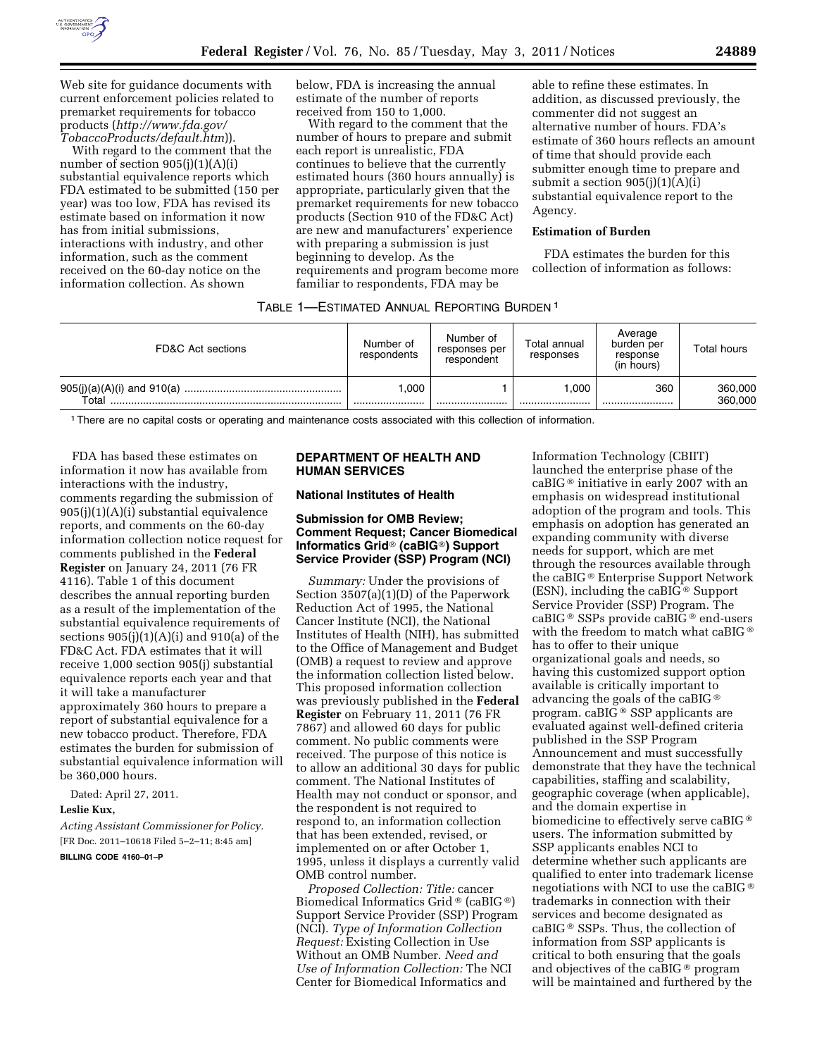

Web site for guidance documents with current enforcement policies related to premarket requirements for tobacco products (*[http://www.fda.gov/](http://www.fda.gov/TobaccoProducts/default.htm) [TobaccoProducts/default.htm](http://www.fda.gov/TobaccoProducts/default.htm)*)).

With regard to the comment that the number of section 905(j)(1)(A)(i) substantial equivalence reports which FDA estimated to be submitted (150 per year) was too low, FDA has revised its estimate based on information it now has from initial submissions, interactions with industry, and other information, such as the comment received on the 60-day notice on the information collection. As shown

below, FDA is increasing the annual estimate of the number of reports received from 150 to 1,000.

With regard to the comment that the number of hours to prepare and submit each report is unrealistic, FDA continues to believe that the currently estimated hours (360 hours annually) is appropriate, particularly given that the premarket requirements for new tobacco products (Section 910 of the FD&C Act) are new and manufacturers' experience with preparing a submission is just beginning to develop. As the requirements and program become more familiar to respondents, FDA may be

able to refine these estimates. In addition, as discussed previously, the commenter did not suggest an alternative number of hours. FDA's estimate of 360 hours reflects an amount of time that should provide each submitter enough time to prepare and submit a section  $905(j)(1)(A)(i)$ substantial equivalence report to the Agency.

### **Estimation of Burden**

FDA estimates the burden for this collection of information as follows:

## TABLE 1—ESTIMATED ANNUAL REPORTING BURDEN 1

| FD&C Act sections | Number of<br>respondents | Number of<br>responses per<br>respondent | Total annual<br>responses | Average<br>burden per<br>response<br>(in hours) | Total hours |
|-------------------|--------------------------|------------------------------------------|---------------------------|-------------------------------------------------|-------------|
|                   | .000                     |                                          | .000                      | 360                                             | 360,000     |
| Total             |                          |                                          |                           |                                                 | 360,000     |

1There are no capital costs or operating and maintenance costs associated with this collection of information.

FDA has based these estimates on information it now has available from interactions with the industry, comments regarding the submission of 905(j)(1)(A)(i) substantial equivalence reports, and comments on the 60-day information collection notice request for comments published in the **Federal Register** on January 24, 2011 (76 FR 4116). Table 1 of this document describes the annual reporting burden as a result of the implementation of the substantial equivalence requirements of sections  $905(j)(1)(A)(i)$  and  $910(a)$  of the FD&C Act. FDA estimates that it will receive 1,000 section 905(j) substantial equivalence reports each year and that it will take a manufacturer approximately 360 hours to prepare a report of substantial equivalence for a new tobacco product. Therefore, FDA estimates the burden for submission of substantial equivalence information will be 360,000 hours.

Dated: April 27, 2011.

### **Leslie Kux,**

*Acting Assistant Commissioner for Policy.*  [FR Doc. 2011–10618 Filed 5–2–11; 8:45 am]

# **BILLING CODE 4160–01–P**

## **DEPARTMENT OF HEALTH AND HUMAN SERVICES**

#### **National Institutes of Health**

## **Submission for OMB Review; Comment Request; Cancer Biomedical Informatics Grid**® **(caBIG**®**) Support Service Provider (SSP) Program (NCI)**

*Summary:* Under the provisions of Section 3507(a)(1)(D) of the Paperwork Reduction Act of 1995, the National Cancer Institute (NCI), the National Institutes of Health (NIH), has submitted to the Office of Management and Budget (OMB) a request to review and approve the information collection listed below. This proposed information collection was previously published in the **Federal Register** on February 11, 2011 (76 FR 7867) and allowed 60 days for public comment. No public comments were received. The purpose of this notice is to allow an additional 30 days for public comment. The National Institutes of Health may not conduct or sponsor, and the respondent is not required to respond to, an information collection that has been extended, revised, or implemented on or after October 1, 1995, unless it displays a currently valid OMB control number.

*Proposed Collection: Title:* cancer Biomedical Informatics Grid ® (caBIG ®) Support Service Provider (SSP) Program (NCI). *Type of Information Collection Request:* Existing Collection in Use Without an OMB Number. *Need and Use of Information Collection:* The NCI Center for Biomedical Informatics and

Information Technology (CBIIT) launched the enterprise phase of the caBIG ® initiative in early 2007 with an emphasis on widespread institutional adoption of the program and tools. This emphasis on adoption has generated an expanding community with diverse needs for support, which are met through the resources available through the caBIG ® Enterprise Support Network (ESN), including the caBIG ® Support Service Provider (SSP) Program. The caBIG ® SSPs provide caBIG ® end-users with the freedom to match what caBIG ® has to offer to their unique organizational goals and needs, so having this customized support option available is critically important to advancing the goals of the caBIG ® program. caBIG ® SSP applicants are evaluated against well-defined criteria published in the SSP Program Announcement and must successfully demonstrate that they have the technical capabilities, staffing and scalability, geographic coverage (when applicable), and the domain expertise in biomedicine to effectively serve caBIG ® users. The information submitted by SSP applicants enables NCI to determine whether such applicants are qualified to enter into trademark license negotiations with NCI to use the caBIG ® trademarks in connection with their services and become designated as caBIG ® SSPs. Thus, the collection of information from SSP applicants is critical to both ensuring that the goals and objectives of the caBIG ® program will be maintained and furthered by the